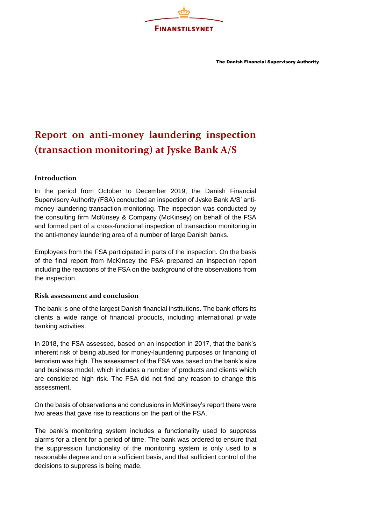

The Danish Financial Supervisory Authority

## **Report on anti-money laundering inspection (transaction monitoring) at Jyske Bank A/S**

## **Introduction**

In the period from October to December 2019, the Danish Financial Supervisory Authority (FSA) conducted an inspection of Jyske Bank A/S' antimoney laundering transaction monitoring. The inspection was conducted by the consulting firm McKinsey & Company (McKinsey) on behalf of the FSA and formed part of a cross-functional inspection of transaction monitoring in the anti-money laundering area of a number of large Danish banks.

Employees from the FSA participated in parts of the inspection. On the basis of the final report from McKinsey the FSA prepared an inspection report including the reactions of the FSA on the background of the observations from the inspection.

## **Risk assessment and conclusion**

The bank is one of the largest Danish financial institutions. The bank offers its clients a wide range of financial products, including international private banking activities.

In 2018, the FSA assessed, based on an inspection in 2017, that the bank's inherent risk of being abused for money-laundering purposes or financing of terrorism was high. The assessment of the FSA was based on the bank's size and business model, which includes a number of products and clients which are considered high risk. The FSA did not find any reason to change this assessment.

On the basis of observations and conclusions in McKinsey's report there were two areas that gave rise to reactions on the part of the FSA.

The bank's monitoring system includes a functionality used to suppress alarms for a client for a period of time. The bank was ordered to ensure that the suppression functionality of the monitoring system is only used to a reasonable degree and on a sufficient basis, and that sufficient control of the decisions to suppress is being made.